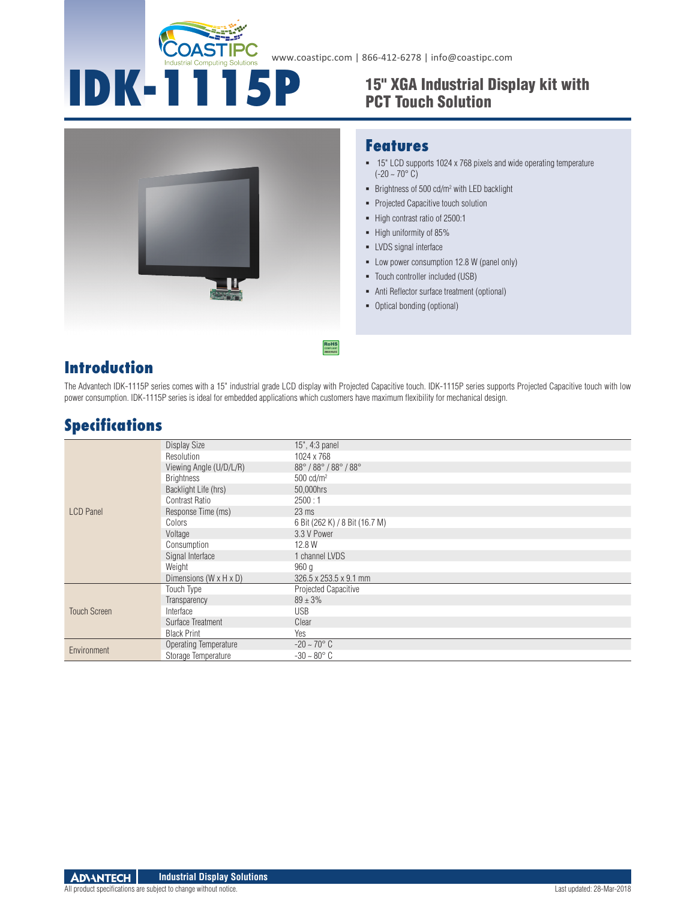

## **IDK-1115P** 15" XGA Industrial Display kit with PCT Touch Solution



#### **Features**

- 15" LCD supports 1024 x 768 pixels and wide operating temperature  $(-20 - 70^{\circ} \text{ C})$
- $\blacksquare$  Brightness of 500 cd/m<sup>2</sup> with LED backlight
- Projected Capacitive touch solution
- High contrast ratio of 2500:1
- High uniformity of 85%
- **EXPLEM** LVDS signal interface
- Low power consumption 12.8 W (panel only)
- Touch controller included (USB)
- Anti Reflector surface treatment (optional)
- Optical bonding (optional)

### **Introduction**

The Advantech IDK-1115P series comes with a 15" industrial grade LCD display with Projected Capacitive touch. IDK-1115P series supports Projected Capacitive touch with low power consumption. IDK-1115P series is ideal for embedded applications which customers have maximum flexibility for mechanical design.

### **Specifications**

|                     | Display Size                         | 15", 4:3 panel                 |
|---------------------|--------------------------------------|--------------------------------|
|                     | Resolution                           | 1024 x 768                     |
|                     | Viewing Angle (U/D/L/R)              | 88°/88°/88°/88°                |
|                     | <b>Brightness</b>                    | $500 \text{ cd/m}^2$           |
|                     | Backlight Life (hrs)                 | 50,000hrs                      |
|                     | <b>Contrast Ratio</b>                | 2500:1                         |
| <b>LCD</b> Panel    | Response Time (ms)                   | $23 \text{ ms}$                |
|                     | Colors                               | 6 Bit (262 K) / 8 Bit (16.7 M) |
|                     | Voltage                              | 3.3 V Power                    |
|                     | Consumption                          | 12.8 W                         |
|                     | Signal Interface                     | 1 channel LVDS                 |
|                     | Weight                               | 960 a                          |
|                     | Dimensions ( $W \times H \times D$ ) | 326.5 x 253.5 x 9.1 mm         |
|                     | Touch Type                           | Projected Capacitive           |
|                     | Transparency                         | $89 \pm 3\%$                   |
| <b>Touch Screen</b> | Interface                            | <b>USB</b>                     |
|                     | Surface Treatment                    | Clear                          |
|                     | <b>Black Print</b>                   | Yes                            |
| Environment         | <b>Operating Temperature</b>         | $-20 - 70^{\circ}$ C           |
|                     | Storage Temperature                  | $-30 - 80^{\circ}$ C           |